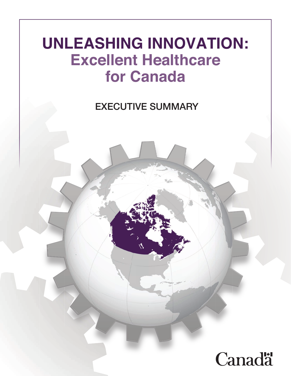## **UNLEASHING INNOVATION: Excellent Healthcare for Canada**

Report of the Advisory Panel on EXECUTIVE SUMMARY

# **Canadä**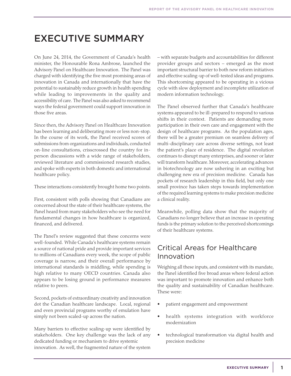### EXECUTIVE SUMMARY

On June 24, 2014, the Government of Canada's health minister, the Honourable Rona Ambrose, launched the Advisory Panel on Healthcare Innovation. The Panel was charged with identifying the five most promising areas of innovation in Canada and internationally that have the potential to sustainably reduce growth in health spending while leading to improvements in the quality and accessibility of care. The Panel was also asked to recommend ways the federal government could support innovation in those five areas.

Since then, the Advisory Panel on Healthcare Innovation has been learning and deliberating more or less non-stop. In the course of its work, the Panel received scores of submissions from organizations and individuals, conducted on-line consultations, crisscrossed the country for inperson discussions with a wide range of stakeholders, reviewed literature and commissioned research studies, and spoke with experts in both domestic and international healthcare policy.

These interactions consistently brought home two points.

First, consistent with polls showing that Canadians are concerned about the state of their healthcare systems, the Panel heard from many stakeholders who see the need for fundamental changes in how healthcare is organized, financed, and delivered.

The Panel's review suggested that these concerns were well-founded. While Canada's healthcare systems remain a source of national pride and provide important services to millions of Canadians every week, the scope of public coverage is narrow, and their overall performance by international standards is middling, while spending is high relative to many OECD countries. Canada also appears to be losing ground in performance measures relative to peers.

Second, pockets of extraordinary creativity and innovation dot the Canadian healthcare landscape. Local, regional and even provincial programs worthy of emulation have simply not been scaled-up across the nation.

Many barriers to effective scaling-up were identified by stakeholders. One key challenge was the lack of any dedicated funding or mechanism to drive systemic innovation. As well, the fragmented nature of the system – with separate budgets and accountabilities for different provider groups and sectors – emerged as the most important structural barrier to both new reform initiatives and effective scaling-up of well-tested ideas and programs. This shortcoming appeared to be operating in a vicious cycle with slow deployment and incomplete utilization of modern information technology.

The Panel observed further that Canada's healthcare systems appeared to be ill-prepared to respond to various shifts in their context. Patients are demanding more participation in their own care and engagement with the design of healthcare programs. As the population ages, there will be a greater premium on seamless delivery of multi-disciplinary care across diverse settings, not least the patient's place of residence. The digital revolution continues to disrupt many enterprises, and sooner or later will transform healthcare. Moreover, accelerating advances in biotechnology are now ushering in an exciting but challenging new era of precision medicine. Canada has pockets of research leadership in this field, but only one small province has taken steps towards implementation of the required learning systems to make precision medicine a clinical reality.

Meanwhile, polling data show that the majority of Canadians no longer believe that an increase in operating funds is the primary solution to the perceived shortcomings of their healthcare systems.

#### Critical Areas for Healthcare Innovation

Weighing all these inputs, and consistent with its mandate, the Panel identified five broad areas where federal action was important to promote innovation and enhance both the quality and sustainability of Canadian healthcare. These were:

- patient engagement and empowerment
- health systems integration with workforce modernization
- technological transformation via digital health and precision medicine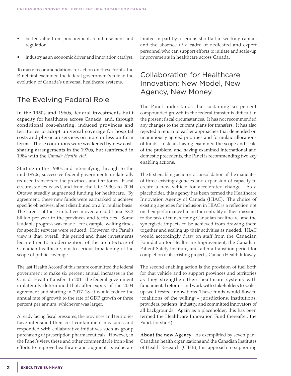- better value from procurement, reimbursement and regulation
- industry as an economic driver and innovation catalyst.

To make recommendations for action on these fronts, the Panel first examined the federal government's role in the evolution of Canada's universal healthcare systems.

#### The Evolving Federal Role

In the 1950s and 1960s, federal investments built capacity for healthcare across Canada, and, through conditional cost-sharing, induced provinces and territories to adopt universal coverage for hospital costs and physician services on more or less uniform terms. Those conditions were weakened by new costsharing arrangements in the 1970s, but reaffirmed in 1984 with the *Canada Health Act*.

Starting in the 1980s and intensifying through to the mid-1990s, successive federal governments unilaterally reduced transfers to the provinces and territories. Fiscal circumstances eased, and from the late 1990s to 2004 Ottawa steadily augmented funding for healthcare. By agreement, these new funds were earmarked to achieve specific objectives, albeit distributed on a formulaic basis. The largest of these initiatives moved an additional \$3.2 billion per year to the provinces and territories. Some laudable progress was made – for example, waiting times for specific services were reduced. However, the Panel's view is that, overall, this period and these investments led neither to modernization of the architecture of Canadian healthcare, nor to serious broadening of the scope of public coverage.

The last'Health Accord' of this nature committed the federal government to make six percent annual increases in the Canada Health Transfer. In 2011 the federal government unilaterally determined that, after expiry of the 2004 agreement and starting in 2017-18, it would reduce the annual rate of growth to the rate of GDP growth or three percent per annum, whichever was larger.

Already facing fiscal pressures, the provinces and territories have intensified their cost containment measures and responded with collaborative initiatives such as group purchasing of prescription pharmaceuticals. However, in the Panel's view, these and other commendable front-line efforts to improve healthcare and augment its value are limited in part by a serious shortfall in working capital, and the absence of a cadre of dedicated and expert personnel who can support efforts to initiate and scale-up improvements in healthcare across Canada.

#### Collaboration for Healthcare Innovation: New Model, New Agency, New Money

The Panel understands that sustaining six percent compounded growth in the federal transfer is difficult in the present fiscal circumstances. It has not recommended any changes to the current plans for transfers. It has also rejected a return to earlier approaches that depended on unanimously agreed priorities and formulaic allocations of funds. Instead, having examined the scope and scale of the problem, and having examined international and domestic precedents, the Panel is recommending two key enabling actions.

The first enabling action is a consolidation of the mandates of three existing agencies and expansion of capacity to create a new vehicle for accelerated change. As a placeholder, this agency has been termed the Healthcare Innovation Agency of Canada (HIAC). The choice of existing agencies for inclusion in HIAC is a reflection not on their performance but on the centrality of their missions to the task of transforming Canadian healthcare, and the synergistic impacts to be achieved from drawing them together and scaling up their activities as needed. HIAC would accordingly draw on staff from the Canadian Foundation for Healthcare Improvement, the Canadian Patient Safety Institute, and, after a transition period for completion of its existing projects, Canada Health Infoway.

The second enabling action is the provision of fuel both for that vehicle and to support provinces and territories as they strengthen their healthcare systems with fundamental reforms and work with stakeholders to scaleup well-tested innovations. These funds would flow to 'coalitions of the willing' – jurisdictions, institutions, providers, patients, industry, and committed innovators of all backgrounds. Again as a placeholder, this has been termed the Healthcare Innovation Fund (hereafter, the Fund, for short).

**About the new Agency**: As exemplified by seven pan-Canadian health organizations and the Canadian Institutes of Health Research (CIHR), this approach to supporting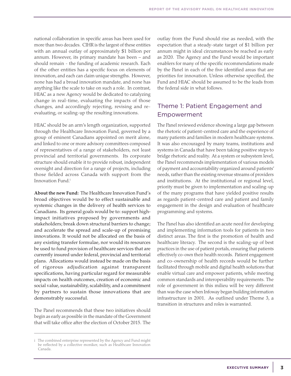national collaboration in specific areas has been used for more than two decades. CIHR is the largest of these entities with an annual outlay of approximately \$1 billion per annum. However, its primary mandate has been – and should remain - the funding of academic research. Each of the other entities has a specific focus on elements of innovation, and each can claim unique strengths. However, none has had a broad innovation mandate, and none has anything like the scale to take on such a role. In contrast, HIAC as a new Agency would be dedicated to catalyzing change in real-time, evaluating the impacts of those changes, and accordingly rejecting, revising and reevaluating, or scaling-up the resulting innovations.

HIAC should be an arm's length organization, supported through the Healthcare Innovation Fund, governed by a group of eminent Canadians appointed on merit alone, and linked to one or more advisory committees composed of representatives of a range of stakeholders, not least provincial and territorial governments. Its corporate structure should enable it to provide robust, independent oversight and direction for a range of projects, including those fielded across Canada with support from the Innovation Fund.i

**About the new Fund:** The Healthcare Innovation Fund's broad objectives would be to effect sustainable and systemic changes in the delivery of health services to Canadians. Its general goals would be to: support highimpact initiatives proposed by governments and stakeholders; break down structural barriers to change; and accelerate the spread and scale-up of promising innovations. It would not be allocated on the basis of any existing transfer formulae, nor would its resources be used to fund provision of healthcare services that are currently insured under federal, provincial and territorial plans. Allocations would instead be made on the basis of rigorous adjudication against transparent specifications, having particular regard for measurable impacts on health outcomes, creation of economic and social value, sustainability, scalability, and a commitment by partners to sustain those innovations that are demonstrably successful.

The Panel recommends that these two initiatives should begin as early as possible in the mandate of the Government that will take office after the election of October 2015. The outlay from the Fund should rise as needed, with the expectation that a steady-state target of \$1 billion per annum might in ideal circumstances be reached as early as 2020. The Agency and the Fund would be important enablers for many of the specific recommendations made by the Panel in each of the five identified areas that are priorities for innovation. Unless otherwise specified, the Fund and HIAC should be assumed to be the leads from the federal side in what follows.

#### Theme 1: Patient Engagement and Empowerment

The Panel reviewed evidence showing a large gap between the rhetoric of patient-centred care and the experience of many patients and families in modern healthcare systems. It was also encouraged by many teams, institutions and systems in Canada that have been taking positive steps to bridge rhetoric and reality. At a system or subsystem level, the Panel recommends implementation of various models of payment and accountability organized around patients' needs, rather than the existing revenue streams of providers and institutions. At the institutional or regional level, priority must be given to implementation and scaling-up of the many programs that have yielded positive results as regards patient-centred care and patient and family engagement in the design and evaluation of healthcare programming and systems.

The Panel has also identified an acute need for developing and implementing information tools for patients in two distinct areas. The first is the promotion of health and healthcare literacy. The second is the scaling-up of best practices in the use of patient portals, ensuring that patients effectively co-own their health records. Patient engagement and co-ownership of health records would be further facilitated through mobile and digital health solutions that enable virtual care and empower patients, while meeting common standards and interoperability requirements. The role of government in this milieu will be very different than was the case when Infoway began building information infrastructure in 2001. As outlined under Theme 3, a transition in structures and roles is warranted.

i The combined enterprise represented by the Agency and Fund might be reflected by a collective moniker, such as Healthcare Innovation Canada.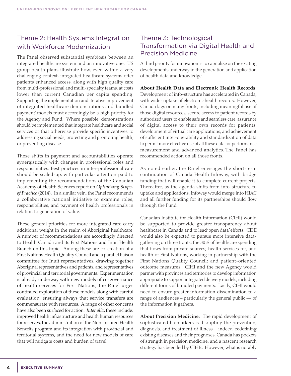#### Theme 2: Health Systems Integration with Workforce Modernization

The Panel observed substantial symbiosis between an integrated healthcare system and an innovative one. US group health plans illustrate how, even within a very challenging context, integrated healthcare systems offer patients enhanced access, along with high quality care from multi-professional and multi-specialty teams, at costs lower than current Canadian per capita spending. Supporting the implementation and iterative improvement of integrated healthcare demonstrations and 'bundled payment' models must accordingly be a high priority for the Agency and Fund. Where possible, demonstrations should be implemented that integrate healthcare and social services or that otherwise provide specific incentives to addressing social needs, protecting and promoting health, or preventing disease.

These shifts in payment and accountabilities operate synergistically with changes in professional roles and responsibilities. Best practices in inter-professional care should be scaled-up, with particular attention paid to implementing the recommendations of the Canadian Academy of Health Sciences report on *Optimizing Scopes of Practice* (2014)*.* In a similar vein, the Panel recommends a collaborative national initiative to examine roles, responsibilities, and payment of health professionals in relation to generation of value.

These general priorities for more integrated care carry additional weight in the realm of Aboriginal healthcare. A number of recommendations are accordingly directed to Health Canada and its First Nations and Inuit Health Branch on this topic. Among these are co-creation of a First Nations Health Quality Council and a parallel liaison committee for Inuit representatives, drawing together Aboriginal representatives and patients, and representatives of provincial and territorial governments. Experimentation is already underway with new models of co-governance of health services for First Nations; the Panel urges continued exploration of these models along with careful evaluation, ensuring always that service transfers are commensurate with resources. A range of other concerns have also been surfaced for action. *Inter alia,* these include: improved health infrastructure and health human resources for reserves, the administration of the Non-Insured Health Benefits program and its integration with provincial and territorial systems, and the need for new models of care that will mitigate costs and burden of travel.

#### Theme 3: Technological Transformation via Digital Health and Precision Medicine

A third priority for innovation is to capitalize on the exciting developments underway in the generation and application of health data and knowledge.

**About Health Data and Electronic Health Records:**  Development of info-structure has accelerated in Canada, with wider uptake of electronic health records. However, Canada lags on many fronts, including meaningful use of those digital resources, secure access to patient records by authorized users to enable safe and seamless care, assurance of digital access to their own records for patients, development of virtual care applications, and achievement of sufficient inter-operability and standardization of data to permit more effective use of all these data for performance measurement and advanced analytics. The Panel has recommended action on all those fronts.

As noted earlier, the Panel envisages the short-term continuation of Canada Health Infoway, with bridge funding that will enable it to complete current projects. Thereafter, as the agenda shifts from info-structure to uptake and applications, Infoway would merge into HIAC and all further funding for its partnerships should flow through the Fund.

Canadian Institute for Health Information (CIHI) would be supported to provide greater transparency about healthcare in Canada and to lead 'open data' efforts. CIHI would also be expected to pursue more intensive datagathering on three fronts: the 30% of healthcare spending that flows from private sources; health services for, and health of First Nations, working in partnership with the First Nations Quality Council; and patient-oriented outcome measures. CIHI and the new Agency would partner with provinces and territories to develop information appropriate to support integrated delivery models, including different forms of bundled payments. Lastly, CIHI would need to ensure greater information dissemination to a range of audiences  $-$  particularly the general public  $-$  of the information it gathers.

**About Precision Medicine:** The rapid development of sophisticated biomarkers is disrupting the prevention, diagnosis, and treatment of illness – indeed, redefining existing diseases and their prognoses. Canada has pockets of strength in precision medicine, and a nascent research strategy has been led by CIHR. However, what is notably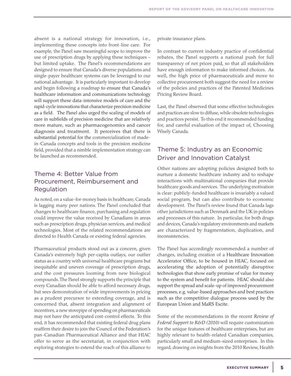absent is a national strategy for innovation, i.e., implementing these concepts into front-line care. For example, the Panel saw meaningful scope to improve the use of prescription drugs by applying these techniques – but limited uptake. The Panel's recommendations are designed to ensure that Canada's diverse populations and single-payer healthcare systems can be leveraged to our national advantage. It is particularly important to develop and begin following a roadmap to ensure that Canada's healthcare information and communications technology will support these data-intensive models of care and the rapid-cycle innovations that characterize precision medicine as a field. The Panel also urged the scaling of models of care in subfields of precision medicine that are relatively more mature, such as pharmacogenomics and cancer diagnosis and treatment. It perceives that there is substantial potential for the commercialization of madein-Canada concepts and tools in the precision medicine field, provided that a nimble implementation strategy can be launched as recommended.

#### Theme 4: Better Value from Procurement, Reimbursement and Regulation

As noted, on a value-for-money basis in healthcare, Canada is lagging many peer nations. The Panel concluded that changes to healthcare finance, purchasing and regulation could improve the value received by Canadians in areas such as prescription drugs, physician services, and medical technologies. Most of the related recommendations are directed to Health Canada or existing federal agencies.

Pharmaceutical products stood out as a concern, given Canada's extremely high per-capita outlays, our outlier status as a country with universal healthcare programs but inequitable and uneven coverage of prescription drugs, and the cost pressures looming from new biological compounds. The Panel strongly supports the principle that every Canadian should be able to afford necessary drugs, but sees demonstration of wide improvements in pricing as a prudent precursor to extending coverage, and is concerned that, absent integration and alignment of incentives, a new stovepipe of spending on pharmaceuticals may not have the anticipated cost-control effects. To this end, it has recommended that existing federal drug plans reaffirm their desire to join the Council of the Federation's pan-Canadian Pharmaceutical Alliance and that HIAC offer to serve as the secretariat, in conjunction with exploring strategies to extend the reach of this alliance to

private insurance plans.

In contrast to current industry practice of confidential rebates, the Panel supports a national push for full transparency of net prices paid, so that all stakeholders have enough information to make informed choices. As well, the high price of pharmaceuticals and move to collective procurement both suggest the need for a review of the policies and practices of the Patented Medicines Pricing Review Board.

Last, the Panel observed that some effective technologies and practices are slow to diffuse, while obsolete technologies and practices persist. To this end it recommended funding for, and careful evaluation of the impact of, Choosing Wisely Canada.

#### Theme 5: Industry as an Economic Driver and Innovation Catalyst

Other nations are adopting policies designed both to nurture a domestic healthcare industry and to reshape interactions with multinational companies that provide healthcare goods and services. The underlying motivation is clear: publicly-funded healthcare is invariably a valued social program, but can also contribute to economic development. The Panel's review found that Canada lags other jurisdictions such as Denmark and the UK in policies and processes of this nature. In particular, for both drugs and devices, Canada's regulatory environments and markets are characterized by fragmentation, duplication, and inconsistencies.

The Panel has accordingly recommended a number of changes, including creation of a Healthcare Innovation Accelerator Office, to be housed in HIAC, focused on accelerating the adoption of potentially disruptive technologies that show early promise of value for money to the system and benefit for patients. HIAC should also support the spread and scale-up of improved procurement processes, e.g. value-based approaches and best practices such as the competitive dialogue process used by the European Union and MaRS Excite.

Some of the recommendations in the recent *Review of Federal Support to R&D (2010)* will require customization for the unique features of healthcare enterprises, but are highly relevant to health-related Canadian companies, particularly small and medium-sized enterprises. In this regard, drawing on insights from the 2010 Review, Health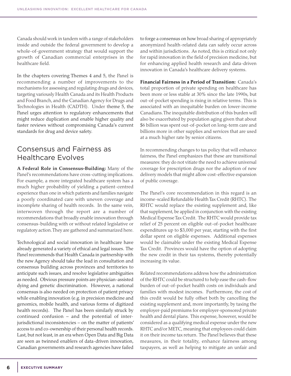Canada should work in tandem with a range of stakeholders inside and outside the federal government to develop a whole-of-government strategy that would support the growth of Canadian commercial enterprises in the healthcare field.

In the chapters covering Themes 4 and 5, the Panel is recommending a number of improvements to the mechanisms for assessing and regulating drugs and devices, targeting variously Health Canada and its Health Products and Food Branch, and the Canadian Agency for Drugs and Technologies in Health (CADTH). Under theme 5, the Panel urges attention to regulatory enhancements that might reduce duplication and enable higher quality and faster reviews without compromising Canada's current standards for drug and device safety.

#### Consensus and Fairness as Healthcare Evolves

**A Federal Role in Consensus-Building:** Many of the Panel's recommendations have cross-cutting implications. For example, a more integrated healthcare system has a much higher probability of yielding a patient-centred experience than one in which patients and families navigate a poorly coordinated care with uneven coverage and incomplete sharing of health records. In the same vein, interwoven through the report are a number of recommendations that broadly enable innovation through consensus-building with or without related legislative or regulatory action. They are gathered and summarized here.

Technological and social innovation in healthcare have already generated a variety of ethical and legal issues. The Panel recommends that Health Canada in partnership with the new Agency should take the lead in consultation and consensus building across provinces and territories to anticipate such issues, and resolve legislative ambiguities as needed. Obvious pressure points are physician-assisted dying and genetic discrimination. However, a national consensus is also needed on protection of patient privacy while enabling innovation (e.g. in precision medicine and genomics, mobile health, and various forms of digitized health records). The Panel has been similarly struck by continued confusion – and the potential of interjurisdictional inconsistencies – on the matter of patients' access to and co-ownership of their personal health records. Last, but not least, in an era when Open Data and Big Data are seen as twinned enablers of data-driven innovation, Canadian governments and research agencies have failed to forge a consensus on how broad sharing of appropriately anonymized health-related data can safely occur across and within jurisdictions. As noted, this is critical not only for rapid innovation in the field of precision medicine, but for enhancing applied health research and data-driven innovation in Canada's healthcare delivery systems.

**Financial Fairness in a Period of Transition:** Canada's total proportion of private spending on healthcare has been more or less stable at 30% since the late 1990s, but out-of-pocket spending is rising in relative terms. This is associated with an inequitable burden on lower-income Canadians. The inequitable distribution of this burden will also be exacerbated by population aging given that about \$6 billion was spent out-of-pocket on long-term care and billions more in other supplies and services that are used at a much higher rate by senior citizens.

In recommending changes to tax policy that will enhance fairness, the Panel emphasizes that these are transitional measures: they do not vitiate the need to achieve universal coverage for prescription drugs nor the adoption of new delivery models that might allow cost-effective expansion of public coverage.

The Panel's core recommendation in this regard is an income-scaled Refundable Health Tax Credit (RHTC). The RHTC would replace the existing supplement and, like that supplement, be applied in conjunction with the existing Medical Expense Tax Credit. The RHTC would provide tax relief of 25 percent on eligible out-of-pocket healthcare expenditures up to \$3,000 per year, starting with the first dollar spent on eligible expenses. Additional expenses would be claimable under the existing Medical Expense Tax Credit. Provinces would have the option of adopting the new credit in their tax systems, thereby potentially increasing its value.

Related recommendations address how the administration of the RHTC could be structured to help ease the cash-flow burden of out-of-pocket health costs on individuals and families with modest incomes. Furthermore, the cost of this credit would be fully offset both by cancelling the existing supplement and, more importantly, by taxing the employer-paid premiums for employer-sponsored private health and dental plans. This expense, however, would be considered as a qualifying medical expense under the new RHTC and/or METC, meaning that employees could claim it on their income tax return. The Panel believes that these measures, in their totality, enhance fairness among taxpayers, as well as helping to mitigate an unfair and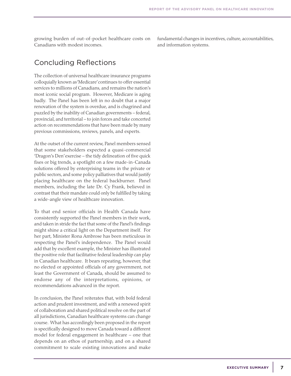growing burden of out-of-pocket healthcare costs on Canadians with modest incomes.

fundamental changes in incentives, culture, accountabilities, and information systems.

#### Concluding Reflections

The collection of universal healthcare insurance programs colloquially known as 'Medicare' continues to offer essential services to millions of Canadians, and remains the nation's most iconic social program. However, Medicare is aging badly. The Panel has been left in no doubt that a major renovation of the system is overdue, and is chagrined and puzzled by the inability of Canadian governments – federal, provincial, and territorial – to join forces and take concerted action on recommendations that have been made by many previous commissions, reviews, panels, and experts.

At the outset of the current review, Panel members sensed that some stakeholders expected a quasi-commercial 'Dragon's Den' exercise – the tidy delineation of five quick fixes or big trends, a spotlight on a few made-in-Canada solutions offered by enterprising teams in the private or public sectors, and some policy palliatives that would justify placing healthcare on the federal backburner. Panel members, including the late Dr. Cy Frank, believed in contrast that their mandate could only be fulfilled by taking a wide-angle view of healthcare innovation.

To that end senior officials in Health Canada have consistently supported the Panel members in their work, and taken in stride the fact that some of the Panel's findings might shine a critical light on the Department itself. For her part, Minister Rona Ambrose has been meticulous in respecting the Panel's independence. The Panel would add that by excellent example, the Minister has illustrated the positive role that facilitative federal leadership can play in Canadian healthcare. It bears repeating, however, that no elected or appointed officials of any government, not least the Government of Canada, should be assumed to endorse any of the interpretations, opinions, or recommendations advanced in the report.

In conclusion, the Panel reiterates that, with bold federal action and prudent investment, and with a renewed spirit of collaboration and shared political resolve on the part of all jurisdictions, Canadian healthcare systems can change course. What has accordingly been proposed in the report is specifically designed to move Canada toward a different model for federal engagement in healthcare – one that depends on an ethos of partnership, and on a shared commitment to scale existing innovations and make